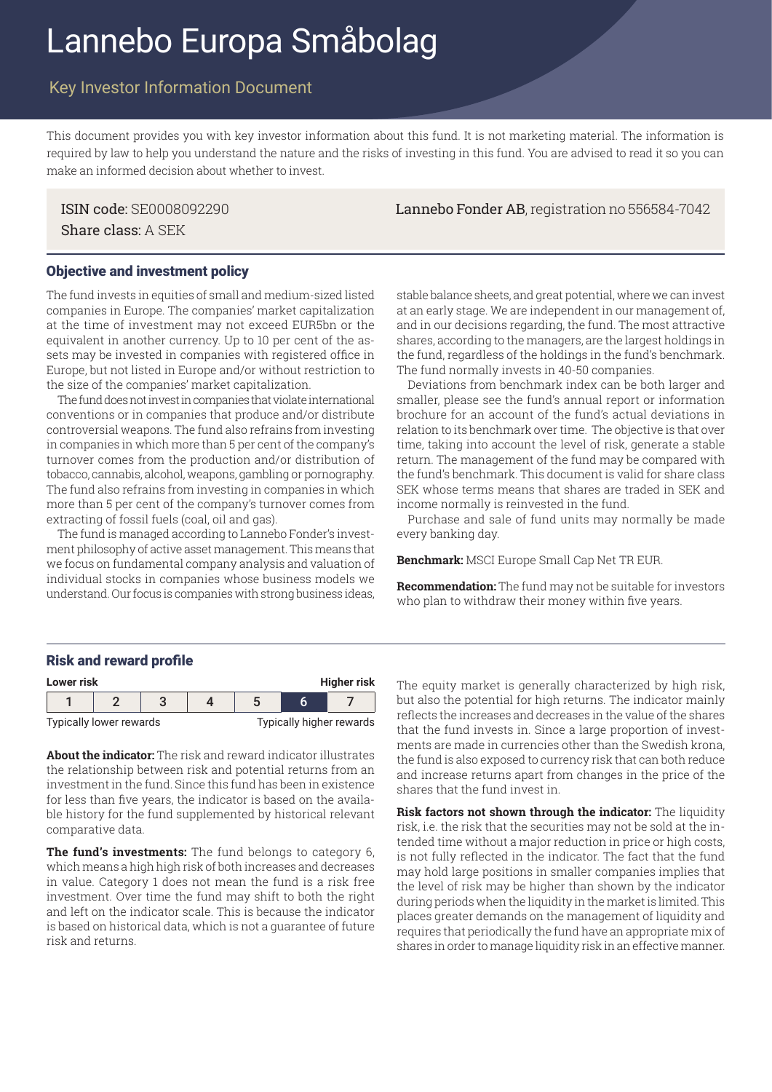# Lannebo Europa Småbolag

# Key Investor Information Document

This document provides you with key investor information about this fund. It is not marketing material. The information is required by law to help you understand the nature and the risks of investing in this fund. You are advised to read it so you can make an informed decision about whether to invest.

Share class: A SEK

ISIN code: SE0008092290 Lannebo Fonder AB, registration no 556584-7042

### Objective and investment policy

The fund invests in equities of small and medium-sized listed companies in Europe. The companies' market capitalization at the time of investment may not exceed EUR5bn or the equivalent in another currency. Up to 10 per cent of the assets may be invested in companies with registered office in Europe, but not listed in Europe and/or without restriction to the size of the companies' market capitalization.

The fund does not invest in companies that violate international conventions or in companies that produce and/or distribute controversial weapons. The fund also refrains from investing in companies in which more than 5 per cent of the company's turnover comes from the production and/or distribution of tobacco, cannabis, alcohol, weapons, gambling or pornography. The fund also refrains from investing in companies in which more than 5 per cent of the company's turnover comes from extracting of fossil fuels (coal, oil and gas).

The fund is managed according to Lannebo Fonder's investment philosophy of active asset management. This means that we focus on fundamental company analysis and valuation of individual stocks in companies whose business models we understand. Our focus is companies with strong business ideas,

stable balance sheets, and great potential, where we can invest at an early stage. We are independent in our management of, and in our decisions regarding, the fund. The most attractive shares, according to the managers, are the largest holdings in the fund, regardless of the holdings in the fund's benchmark. The fund normally invests in 40-50 companies.

Deviations from benchmark index can be both larger and smaller, please see the fund's annual report or information brochure for an account of the fund's actual deviations in relation to its benchmark over time. The objective is that over time, taking into account the level of risk, generate a stable return. The management of the fund may be compared with the fund's benchmark. This document is valid for share class SEK whose terms means that shares are traded in SEK and income normally is reinvested in the fund.

Purchase and sale of fund units may normally be made every banking day.

**Benchmark:** MSCI Europe Small Cap Net TR EUR.

**Recommendation:** The fund may not be suitable for investors who plan to withdraw their money within five years.

#### Risk and reward profile



**About the indicator:** The risk and reward indicator illustrates the relationship between risk and potential returns from an investment in the fund. Since this fund has been in existence for less than five years, the indicator is based on the available history for the fund supplemented by historical relevant comparative data.

**The fund's investments:** The fund belongs to category 6, which means a high high risk of both increases and decreases in value. Category 1 does not mean the fund is a risk free investment. Over time the fund may shift to both the right and left on the indicator scale. This is because the indicator is based on historical data, which is not a guarantee of future risk and returns.

but also the potential for high returns. The indicator mainly reflects the increases and decreases in the value of the shares that the fund invests in. Since a large proportion of investments are made in currencies other than the Swedish krona, the fund is also exposed to currency risk that can both reduce and increase returns apart from changes in the price of the shares that the fund invest in.

**Risk factors not shown through the indicator:** The liquidity risk, i.e. the risk that the securities may not be sold at the intended time without a major reduction in price or high costs, is not fully reflected in the indicator. The fact that the fund may hold large positions in smaller companies implies that the level of risk may be higher than shown by the indicator during periods when the liquidity in the market is limited. This places greater demands on the management of liquidity and requires that periodically the fund have an appropriate mix of shares in order to manage liquidity risk in an effective manner.